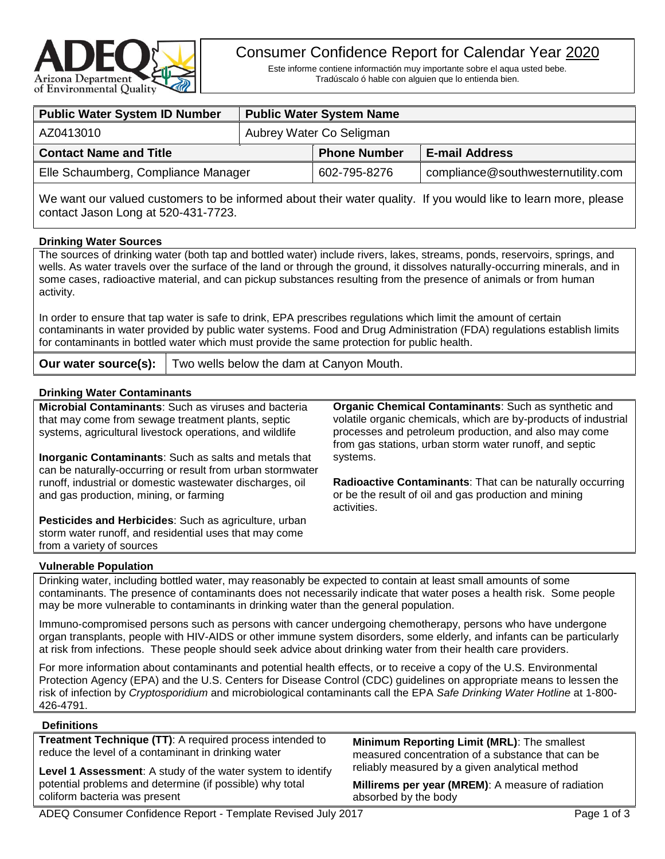

# Consumer Confidence Report for Calendar Year 2020

Este informe contiene informactión muy importante sobre el aqua usted bebe. Tradúscalo ó hable con alguien que lo entienda bien.

| <b>Public Water System ID Number</b> |                          | <b>Public Water System Name</b> |                                    |  |
|--------------------------------------|--------------------------|---------------------------------|------------------------------------|--|
| AZ0413010                            | Aubrey Water Co Seligman |                                 |                                    |  |
| <b>Contact Name and Title</b>        |                          | <b>Phone Number</b>             | <b>E-mail Address</b>              |  |
| Elle Schaumberg, Compliance Manager  |                          | 602-795-8276                    | compliance@southwesternutility.com |  |
|                                      |                          |                                 |                                    |  |

We want our valued customers to be informed about their water quality. If you would like to learn more, please contact Jason Long at 520-431-7723.

#### **Drinking Water Sources**

The sources of drinking water (both tap and bottled water) include rivers, lakes, streams, ponds, reservoirs, springs, and wells. As water travels over the surface of the land or through the ground, it dissolves naturally-occurring minerals, and in some cases, radioactive material, and can pickup substances resulting from the presence of animals or from human activity.

In order to ensure that tap water is safe to drink, EPA prescribes regulations which limit the amount of certain contaminants in water provided by public water systems. Food and Drug Administration (FDA) regulations establish limits for contaminants in bottled water which must provide the same protection for public health.

**Our water source(s):** Two wells below the dam at Canyon Mouth.

#### **Drinking Water Contaminants**

| <b>Microbial Contaminants:</b> Such as viruses and bacteria<br>that may come from sewage treatment plants, septic<br>systems, agricultural livestock operations, and wildlife | <b>Organic Chemical Contaminants:</b> Such as synthetic and<br>volatile organic chemicals, which are by-products of industrial<br>processes and petroleum production, and also may come<br>from gas stations, urban storm water runoff, and septic |
|-------------------------------------------------------------------------------------------------------------------------------------------------------------------------------|----------------------------------------------------------------------------------------------------------------------------------------------------------------------------------------------------------------------------------------------------|
| <b>Inorganic Contaminants:</b> Such as salts and metals that<br>can be naturally-occurring or result from urban stormwater                                                    | systems.                                                                                                                                                                                                                                           |
| runoff, industrial or domestic wastewater discharges, oil<br>and gas production, mining, or farming                                                                           | <b>Radioactive Contaminants:</b> That can be naturally occurring<br>or be the result of oil and gas production and mining<br>activities.                                                                                                           |
| <b>Pesticides and Herbicides:</b> Such as agriculture, urban<br>storm water runoff, and residential uses that may come<br>from a variety of sources                           |                                                                                                                                                                                                                                                    |

#### **Vulnerable Population**

Drinking water, including bottled water, may reasonably be expected to contain at least small amounts of some contaminants. The presence of contaminants does not necessarily indicate that water poses a health risk. Some people may be more vulnerable to contaminants in drinking water than the general population.

Immuno-compromised persons such as persons with cancer undergoing chemotherapy, persons who have undergone organ transplants, people with HIV-AIDS or other immune system disorders, some elderly, and infants can be particularly at risk from infections. These people should seek advice about drinking water from their health care providers.

For more information about contaminants and potential health effects, or to receive a copy of the U.S. Environmental Protection Agency (EPA) and the U.S. Centers for Disease Control (CDC) guidelines on appropriate means to lessen the risk of infection by *Cryptosporidium* and microbiological contaminants call the EPA *Safe Drinking Water Hotline* at 1-800- 426-4791.

#### **Definitions**

**Treatment Technique (TT)**: A required process intended to reduce the level of a contaminant in drinking water

**Level 1 Assessment**: A study of the water system to identify potential problems and determine (if possible) why total coliform bacteria was present

**Minimum Reporting Limit (MRL)**: The smallest measured concentration of a substance that can be reliably measured by a given analytical method

**Millirems per year (MREM)**: A measure of radiation absorbed by the body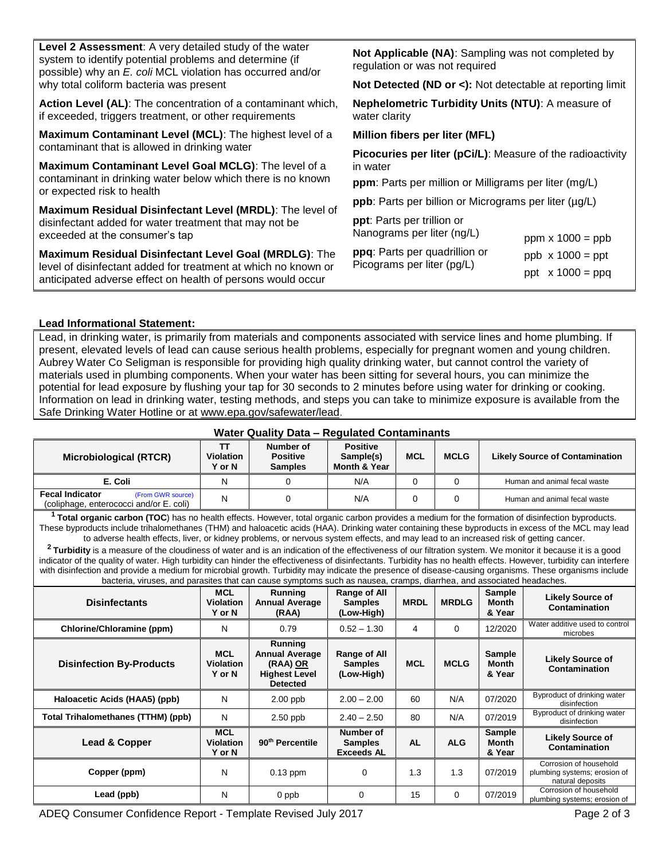| Level 2 Assessment: A very detailed study of the water<br>system to identify potential problems and determine (if<br>possible) why an E. coli MCL violation has occurred and/or<br>why total coliform bacteria was present | Not Applicable (NA): Sampling was not completed by<br>regulation or was not required<br><b>Not Detected (ND or &lt;):</b> Not detectable at reporting limit |  |  |  |  |
|----------------------------------------------------------------------------------------------------------------------------------------------------------------------------------------------------------------------------|-------------------------------------------------------------------------------------------------------------------------------------------------------------|--|--|--|--|
| Action Level (AL): The concentration of a contaminant which,<br>if exceeded, triggers treatment, or other requirements                                                                                                     | Nephelometric Turbidity Units (NTU): A measure of<br>water clarity                                                                                          |  |  |  |  |
| Maximum Contaminant Level (MCL): The highest level of a                                                                                                                                                                    | Million fibers per liter (MFL)                                                                                                                              |  |  |  |  |
| contaminant that is allowed in drinking water                                                                                                                                                                              | Picocuries per liter (pCi/L): Measure of the radioactivity                                                                                                  |  |  |  |  |
| Maximum Contaminant Level Goal MCLG): The level of a                                                                                                                                                                       | in water                                                                                                                                                    |  |  |  |  |
| contaminant in drinking water below which there is no known<br>or expected risk to health                                                                                                                                  | <b>ppm</b> : Parts per million or Milligrams per liter (mg/L)                                                                                               |  |  |  |  |
|                                                                                                                                                                                                                            | <b>ppb</b> : Parts per billion or Micrograms per liter (µg/L)                                                                                               |  |  |  |  |
| Maximum Residual Disinfectant Level (MRDL): The level of<br>disinfectant added for water treatment that may not be<br>exceeded at the consumer's tap                                                                       | <b>ppt</b> : Parts per trillion or<br>Nanograms per liter (ng/L)<br>ppm $\times$ 1000 = ppb                                                                 |  |  |  |  |
| Maximum Residual Disinfectant Level Goal (MRDLG): The                                                                                                                                                                      | ppq: Parts per quadrillion or<br>$ppb \times 1000 = ppt$                                                                                                    |  |  |  |  |
| level of disinfectant added for treatment at which no known or<br>anticipated adverse effect on health of persons would occur                                                                                              | Picograms per liter (pg/L)<br>ppt $x 1000 = ppq$                                                                                                            |  |  |  |  |
|                                                                                                                                                                                                                            |                                                                                                                                                             |  |  |  |  |

### **Lead Informational Statement:**

Lead, in drinking water, is primarily from materials and components associated with service lines and home plumbing. If present, elevated levels of lead can cause serious health problems, especially for pregnant women and young children. Aubrey Water Co Seligman is responsible for providing high quality drinking water, but cannot control the variety of materials used in plumbing components. When your water has been sitting for several hours, you can minimize the potential for lead exposure by flushing your tap for 30 seconds to 2 minutes before using water for drinking or cooking. Information on lead in drinking water, testing methods, and steps you can take to minimize exposure is available from the Safe Drinking Water Hotline or at [www.epa.gov/safewater/lead.](http://www.epa.gov/safewater/lead)

## **Water Quality Data – Regulated Contaminants**

| Microbiological (RTCR)                                                                 | <b>Violation</b><br><b>Y</b> or N | Number of<br><b>Positive</b><br><b>Samples</b> | <b>Positive</b><br>Sample(s)<br><b>Month &amp; Year</b> | <b>MCL</b> | <b>MCLG</b> | <b>Likely Source of Contamination</b> |
|----------------------------------------------------------------------------------------|-----------------------------------|------------------------------------------------|---------------------------------------------------------|------------|-------------|---------------------------------------|
| E. Coli                                                                                | N                                 |                                                | N/A                                                     |            |             | Human and animal fecal waste          |
| <b>Fecal Indicator</b><br>(From GWR source)<br>(coliphage, enterococci and/or E. coli) | N                                 |                                                | N/A                                                     |            |             | Human and animal fecal waste          |

**<sup>1</sup> Total organic carbon (TOC**) has no health effects. However, total organic carbon provides a medium for the formation of disinfection byproducts. These byproducts include trihalomethanes (THM) and haloacetic acids (HAA). Drinking water containing these byproducts in excess of the MCL may lead to adverse health effects, liver, or kidney problems, or nervous system effects, and may lead to an increased risk of getting cancer.

**<sup>2</sup>Turbidity** is a measure of the cloudiness of water and is an indication of the effectiveness of our filtration system. We monitor it because it is a good indicator of the quality of water. High turbidity can hinder the effectiveness of disinfectants. Turbidity has no health effects. However, turbidity can interfere with disinfection and provide a medium for microbial growth. Turbidity may indicate the presence of disease-causing organisms. These organisms include bacteria, viruses, and parasites that can cause symptoms such as nausea, cramps, diarrhea, and associated headaches.

| <b>Disinfectants</b>               | <b>MCL</b><br><b>Violation</b><br>Y or N | <b>Running</b><br><b>Annual Average</b><br>(RAA)                                               | Range of All<br><b>Samples</b><br>(Low-High)     | <b>MRDL</b> | <b>MRDLG</b> | Sample<br>Month<br>& Year               | <b>Likely Source of</b><br>Contamination                                   |
|------------------------------------|------------------------------------------|------------------------------------------------------------------------------------------------|--------------------------------------------------|-------------|--------------|-----------------------------------------|----------------------------------------------------------------------------|
| Chlorine/Chloramine (ppm)          | N                                        | 0.79                                                                                           | $0.52 - 1.30$                                    | 4           | $\Omega$     | 12/2020                                 | Water additive used to control<br>microbes                                 |
| <b>Disinfection By-Products</b>    | <b>MCL</b><br><b>Violation</b><br>Y or N | <b>Running</b><br><b>Annual Average</b><br>(RAA) OR<br><b>Highest Level</b><br><b>Detected</b> | Range of All<br><b>Samples</b><br>(Low-High)     | <b>MCL</b>  | <b>MCLG</b>  | <b>Sample</b><br><b>Month</b><br>& Year | <b>Likely Source of</b><br>Contamination                                   |
| Haloacetic Acids (HAA5) (ppb)      | N                                        | $2.00$ ppb                                                                                     | $2.00 - 2.00$                                    | 60          | N/A          | 07/2020                                 | Byproduct of drinking water<br>disinfection                                |
| Total Trihalomethanes (TTHM) (ppb) | N                                        | 2.50 ppb                                                                                       | $2.40 - 2.50$                                    | 80          | N/A          | 07/2019                                 | Byproduct of drinking water<br>disinfection                                |
| <b>Lead &amp; Copper</b>           | <b>MCL</b><br><b>Violation</b><br>Y or N | 90 <sup>th</sup> Percentile                                                                    | Number of<br><b>Samples</b><br><b>Exceeds AL</b> | <b>AL</b>   | <b>ALG</b>   | <b>Sample</b><br>Month<br>& Year        | <b>Likely Source of</b><br>Contamination                                   |
| Copper (ppm)                       | N                                        | $0.13$ ppm                                                                                     | 0                                                | 1.3         | 1.3          | 07/2019                                 | Corrosion of household<br>plumbing systems; erosion of<br>natural deposits |
| Lead (ppb)                         | N                                        | 0 ppb                                                                                          | $\Omega$                                         | 15          | $\Omega$     | 07/2019                                 | Corrosion of household<br>plumbing systems; erosion of                     |

ADEQ Consumer Confidence Report - Template Revised July 2017 **Page 2 of 3** Page 2 of 3